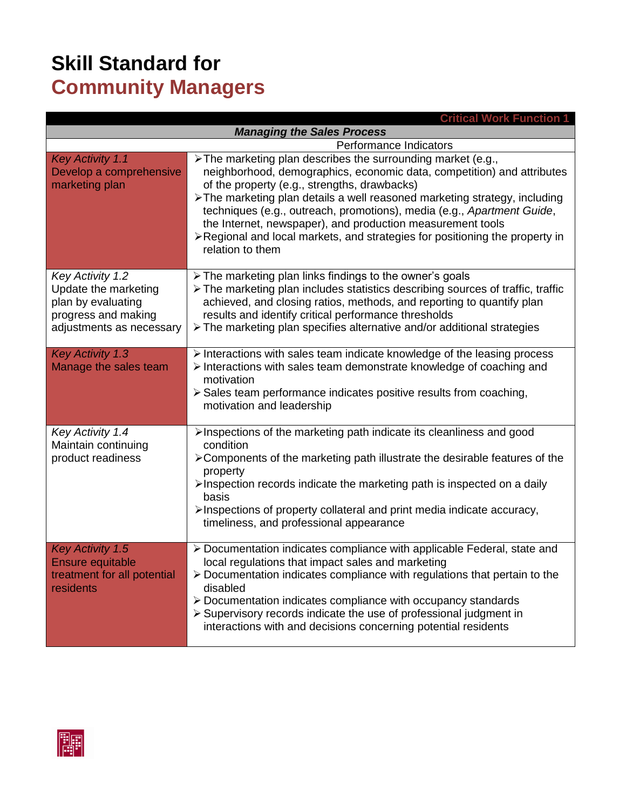## **Skill Standard for Community Managers**

| <b>Critical Work Function 1</b>                                                                                          |                                                                                                                                                                                                                                                                                                                                                                                                                                                                                                                 |  |
|--------------------------------------------------------------------------------------------------------------------------|-----------------------------------------------------------------------------------------------------------------------------------------------------------------------------------------------------------------------------------------------------------------------------------------------------------------------------------------------------------------------------------------------------------------------------------------------------------------------------------------------------------------|--|
| <b>Managing the Sales Process</b>                                                                                        |                                                                                                                                                                                                                                                                                                                                                                                                                                                                                                                 |  |
| Performance Indicators                                                                                                   |                                                                                                                                                                                                                                                                                                                                                                                                                                                                                                                 |  |
| <b>Key Activity 1.1</b><br>Develop a comprehensive<br>marketing plan                                                     | > The marketing plan describes the surrounding market (e.g.,<br>neighborhood, demographics, economic data, competition) and attributes<br>of the property (e.g., strengths, drawbacks)<br>> The marketing plan details a well reasoned marketing strategy, including<br>techniques (e.g., outreach, promotions), media (e.g., Apartment Guide,<br>the Internet, newspaper), and production measurement tools<br>≻Regional and local markets, and strategies for positioning the property in<br>relation to them |  |
| <b>Key Activity 1.2</b><br>Update the marketing<br>plan by evaluating<br>progress and making<br>adjustments as necessary | > The marketing plan links findings to the owner's goals<br>> The marketing plan includes statistics describing sources of traffic, traffic<br>achieved, and closing ratios, methods, and reporting to quantify plan<br>results and identify critical performance thresholds<br>> The marketing plan specifies alternative and/or additional strategies                                                                                                                                                         |  |
| <b>Key Activity 1.3</b><br>Manage the sales team                                                                         | $\triangleright$ Interactions with sales team indicate knowledge of the leasing process<br>> Interactions with sales team demonstrate knowledge of coaching and<br>motivation<br>$\triangleright$ Sales team performance indicates positive results from coaching,<br>motivation and leadership                                                                                                                                                                                                                 |  |
| Key Activity 1.4<br>Maintain continuing<br>product readiness                                                             | >Inspections of the marketing path indicate its cleanliness and good<br>condition<br>>Components of the marketing path illustrate the desirable features of the<br>property<br>>Inspection records indicate the marketing path is inspected on a daily<br>basis<br>>Inspections of property collateral and print media indicate accuracy,<br>timeliness, and professional appearance                                                                                                                            |  |
| <b>Key Activity 1.5</b><br><b>Ensure equitable</b><br>treatment for all potential<br>residents                           | > Documentation indicates compliance with applicable Federal, state and<br>local regulations that impact sales and marketing<br>> Documentation indicates compliance with regulations that pertain to the<br>disabled<br>> Documentation indicates compliance with occupancy standards<br>> Supervisory records indicate the use of professional judgment in<br>interactions with and decisions concerning potential residents                                                                                  |  |

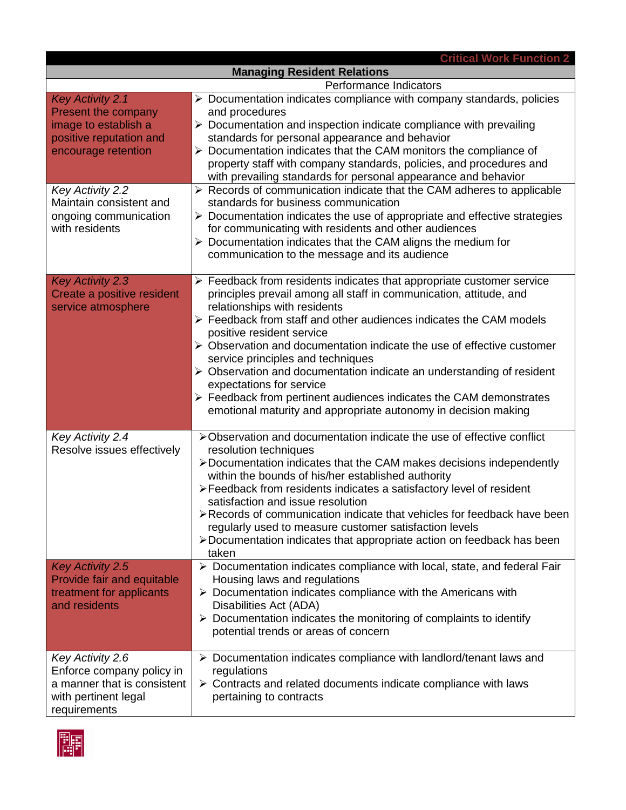|                                                                                                                      | <b>Critical Work Function 2</b>                                                                                                                                                                                                                                                                                                                                                                                                                                                                                                                                                                                                                                                         |  |
|----------------------------------------------------------------------------------------------------------------------|-----------------------------------------------------------------------------------------------------------------------------------------------------------------------------------------------------------------------------------------------------------------------------------------------------------------------------------------------------------------------------------------------------------------------------------------------------------------------------------------------------------------------------------------------------------------------------------------------------------------------------------------------------------------------------------------|--|
| <b>Managing Resident Relations</b>                                                                                   |                                                                                                                                                                                                                                                                                                                                                                                                                                                                                                                                                                                                                                                                                         |  |
| Performance Indicators                                                                                               |                                                                                                                                                                                                                                                                                                                                                                                                                                                                                                                                                                                                                                                                                         |  |
| <b>Key Activity 2.1</b><br>Present the company<br>image to establish a<br>positive reputation and                    | $\triangleright$ Documentation indicates compliance with company standards, policies<br>and procedures<br>$\triangleright$ Documentation and inspection indicate compliance with prevailing<br>standards for personal appearance and behavior                                                                                                                                                                                                                                                                                                                                                                                                                                           |  |
| encourage retention                                                                                                  | $\triangleright$ Documentation indicates that the CAM monitors the compliance of<br>property staff with company standards, policies, and procedures and<br>with prevailing standards for personal appearance and behavior                                                                                                                                                                                                                                                                                                                                                                                                                                                               |  |
| Key Activity 2.2<br>Maintain consistent and<br>ongoing communication<br>with residents                               | $\triangleright$ Records of communication indicate that the CAM adheres to applicable<br>standards for business communication<br>$\triangleright$ Documentation indicates the use of appropriate and effective strategies<br>for communicating with residents and other audiences<br>$\triangleright$ Documentation indicates that the CAM aligns the medium for<br>communication to the message and its audience                                                                                                                                                                                                                                                                       |  |
| <b>Key Activity 2.3</b><br>Create a positive resident<br>service atmosphere                                          | $\triangleright$ Feedback from residents indicates that appropriate customer service<br>principles prevail among all staff in communication, attitude, and<br>relationships with residents<br>> Feedback from staff and other audiences indicates the CAM models<br>positive resident service<br>> Observation and documentation indicate the use of effective customer<br>service principles and techniques<br>$\triangleright$ Observation and documentation indicate an understanding of resident<br>expectations for service<br>$\triangleright$ Feedback from pertinent audiences indicates the CAM demonstrates<br>emotional maturity and appropriate autonomy in decision making |  |
| Key Activity 2.4<br>Resolve issues effectively                                                                       | >Observation and documentation indicate the use of effective conflict<br>resolution techniques<br>>Documentation indicates that the CAM makes decisions independently<br>within the bounds of his/her established authority<br>>Feedback from residents indicates a satisfactory level of resident<br>satisfaction and issue resolution<br>≻Records of communication indicate that vehicles for feedback have been<br>regularly used to measure customer satisfaction levels<br>>Documentation indicates that appropriate action on feedback has been<br>taken                                                                                                                          |  |
| <b>Key Activity 2.5</b><br>Provide fair and equitable<br>treatment for applicants<br>and residents                   | > Documentation indicates compliance with local, state, and federal Fair<br>Housing laws and regulations<br>$\triangleright$ Documentation indicates compliance with the Americans with<br>Disabilities Act (ADA)<br>$\triangleright$ Documentation indicates the monitoring of complaints to identify<br>potential trends or areas of concern                                                                                                                                                                                                                                                                                                                                          |  |
| Key Activity 2.6<br>Enforce company policy in<br>a manner that is consistent<br>with pertinent legal<br>requirements | $\triangleright$ Documentation indicates compliance with landlord/tenant laws and<br>regulations<br>$\triangleright$ Contracts and related documents indicate compliance with laws<br>pertaining to contracts                                                                                                                                                                                                                                                                                                                                                                                                                                                                           |  |

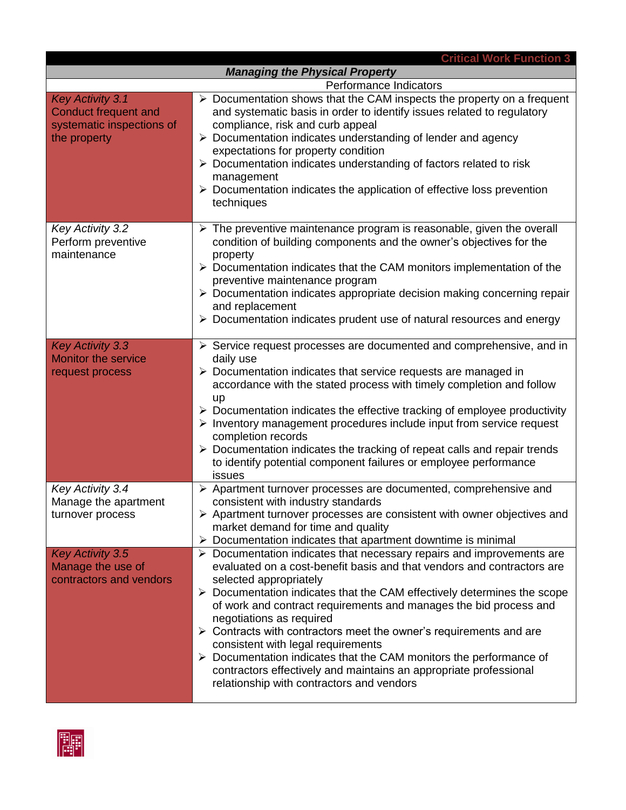| <b>Critical Work Function 3</b>                                                                     |                                                                                                                                                                                                                                                                                                                                                                                                                                                                                                                                                                                                                                                                                                                       |  |
|-----------------------------------------------------------------------------------------------------|-----------------------------------------------------------------------------------------------------------------------------------------------------------------------------------------------------------------------------------------------------------------------------------------------------------------------------------------------------------------------------------------------------------------------------------------------------------------------------------------------------------------------------------------------------------------------------------------------------------------------------------------------------------------------------------------------------------------------|--|
| <b>Managing the Physical Property</b>                                                               |                                                                                                                                                                                                                                                                                                                                                                                                                                                                                                                                                                                                                                                                                                                       |  |
| Performance Indicators                                                                              |                                                                                                                                                                                                                                                                                                                                                                                                                                                                                                                                                                                                                                                                                                                       |  |
| <b>Key Activity 3.1</b><br><b>Conduct frequent and</b><br>systematic inspections of<br>the property | $\triangleright$ Documentation shows that the CAM inspects the property on a frequent<br>and systematic basis in order to identify issues related to regulatory<br>compliance, risk and curb appeal<br>> Documentation indicates understanding of lender and agency<br>expectations for property condition<br>$\triangleright$ Documentation indicates understanding of factors related to risk<br>management<br>$\triangleright$ Documentation indicates the application of effective loss prevention<br>techniques                                                                                                                                                                                                  |  |
| Key Activity 3.2<br>Perform preventive<br>maintenance                                               | $\triangleright$ The preventive maintenance program is reasonable, given the overall<br>condition of building components and the owner's objectives for the<br>property<br>$\triangleright$ Documentation indicates that the CAM monitors implementation of the<br>preventive maintenance program<br>$\triangleright$ Documentation indicates appropriate decision making concerning repair<br>and replacement<br>$\triangleright$ Documentation indicates prudent use of natural resources and energy                                                                                                                                                                                                                |  |
| <b>Key Activity 3.3</b><br>Monitor the service<br>request process                                   | $\triangleright$ Service request processes are documented and comprehensive, and in<br>daily use<br>$\triangleright$ Documentation indicates that service requests are managed in<br>accordance with the stated process with timely completion and follow<br>up<br>$\triangleright$ Documentation indicates the effective tracking of employee productivity<br>$\triangleright$ Inventory management procedures include input from service request<br>completion records<br>$\triangleright$ Documentation indicates the tracking of repeat calls and repair trends<br>to identify potential component failures or employee performance<br>issues                                                                     |  |
| Key Activity 3.4<br>Manage the apartment<br>turnover process                                        | > Apartment turnover processes are documented, comprehensive and<br>consistent with industry standards<br>$\triangleright$ Apartment turnover processes are consistent with owner objectives and<br>market demand for time and quality<br>Documentation indicates that apartment downtime is minimal<br>➤                                                                                                                                                                                                                                                                                                                                                                                                             |  |
| <b>Key Activity 3.5</b><br>Manage the use of<br>contractors and vendors                             | $\triangleright$ Documentation indicates that necessary repairs and improvements are<br>evaluated on a cost-benefit basis and that vendors and contractors are<br>selected appropriately<br>$\triangleright$ Documentation indicates that the CAM effectively determines the scope<br>of work and contract requirements and manages the bid process and<br>negotiations as required<br>$\triangleright$ Contracts with contractors meet the owner's requirements and are<br>consistent with legal requirements<br>$\triangleright$ Documentation indicates that the CAM monitors the performance of<br>contractors effectively and maintains an appropriate professional<br>relationship with contractors and vendors |  |

**FF**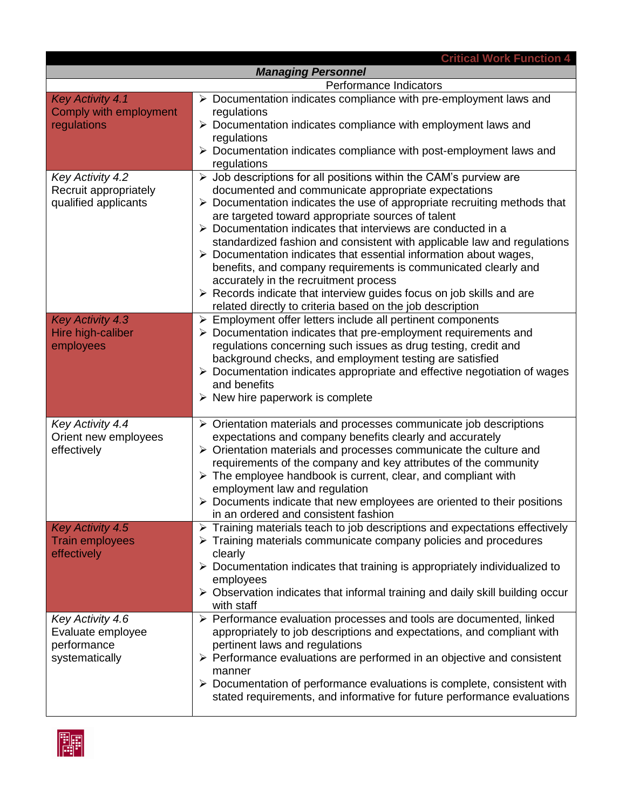| <b>Critical Work Function 4</b>              |                                                                                                                                                 |  |
|----------------------------------------------|-------------------------------------------------------------------------------------------------------------------------------------------------|--|
| <b>Managing Personnel</b>                    |                                                                                                                                                 |  |
| Performance Indicators                       |                                                                                                                                                 |  |
| <b>Key Activity 4.1</b>                      | > Documentation indicates compliance with pre-employment laws and                                                                               |  |
| Comply with employment                       | regulations                                                                                                                                     |  |
| regulations                                  | $\triangleright$ Documentation indicates compliance with employment laws and                                                                    |  |
|                                              | regulations                                                                                                                                     |  |
|                                              | $\triangleright$ Documentation indicates compliance with post-employment laws and<br>regulations                                                |  |
| <b>Key Activity 4.2</b>                      | $\triangleright$ Job descriptions for all positions within the CAM's purview are                                                                |  |
| Recruit appropriately                        | documented and communicate appropriate expectations                                                                                             |  |
| qualified applicants                         | $\triangleright$ Documentation indicates the use of appropriate recruiting methods that                                                         |  |
|                                              | are targeted toward appropriate sources of talent                                                                                               |  |
|                                              | ▶ Documentation indicates that interviews are conducted in a                                                                                    |  |
|                                              | standardized fashion and consistent with applicable law and regulations                                                                         |  |
|                                              | $\triangleright$ Documentation indicates that essential information about wages,                                                                |  |
|                                              | benefits, and company requirements is communicated clearly and                                                                                  |  |
|                                              | accurately in the recruitment process                                                                                                           |  |
|                                              | $\triangleright$ Records indicate that interview guides focus on job skills and are                                                             |  |
|                                              | related directly to criteria based on the job description                                                                                       |  |
| <b>Key Activity 4.3</b><br>Hire high-caliber | $\triangleright$ Employment offer letters include all pertinent components<br>> Documentation indicates that pre-employment requirements and    |  |
| employees                                    | regulations concerning such issues as drug testing, credit and                                                                                  |  |
|                                              | background checks, and employment testing are satisfied                                                                                         |  |
|                                              | $\triangleright$ Documentation indicates appropriate and effective negotiation of wages                                                         |  |
|                                              | and benefits                                                                                                                                    |  |
|                                              | $\triangleright$ New hire paperwork is complete                                                                                                 |  |
|                                              |                                                                                                                                                 |  |
| Key Activity 4.4                             | $\triangleright$ Orientation materials and processes communicate job descriptions                                                               |  |
| Orient new employees                         | expectations and company benefits clearly and accurately                                                                                        |  |
| effectively                                  | $\triangleright$ Orientation materials and processes communicate the culture and                                                                |  |
|                                              | requirements of the company and key attributes of the community<br>$\triangleright$ The employee handbook is current, clear, and compliant with |  |
|                                              | employment law and regulation                                                                                                                   |  |
|                                              | $\triangleright$ Documents indicate that new employees are oriented to their positions                                                          |  |
|                                              | in an ordered and consistent fashion                                                                                                            |  |
| <b>Key Activity 4.5</b>                      | Training materials teach to job descriptions and expectations effectively<br>➤                                                                  |  |
| <b>Train employees</b>                       | $\triangleright$ Training materials communicate company policies and procedures                                                                 |  |
| effectively                                  | clearly                                                                                                                                         |  |
|                                              | $\triangleright$ Documentation indicates that training is appropriately individualized to                                                       |  |
|                                              | employees                                                                                                                                       |  |
|                                              | $\triangleright$ Observation indicates that informal training and daily skill building occur                                                    |  |
| Key Activity 4.6                             | with staff<br>> Performance evaluation processes and tools are documented, linked                                                               |  |
| Evaluate employee                            | appropriately to job descriptions and expectations, and compliant with                                                                          |  |
| performance                                  | pertinent laws and regulations                                                                                                                  |  |
| systematically                               | $\triangleright$ Performance evaluations are performed in an objective and consistent                                                           |  |
|                                              | manner                                                                                                                                          |  |
|                                              | $\triangleright$ Documentation of performance evaluations is complete, consistent with                                                          |  |
|                                              | stated requirements, and informative for future performance evaluations                                                                         |  |
|                                              |                                                                                                                                                 |  |

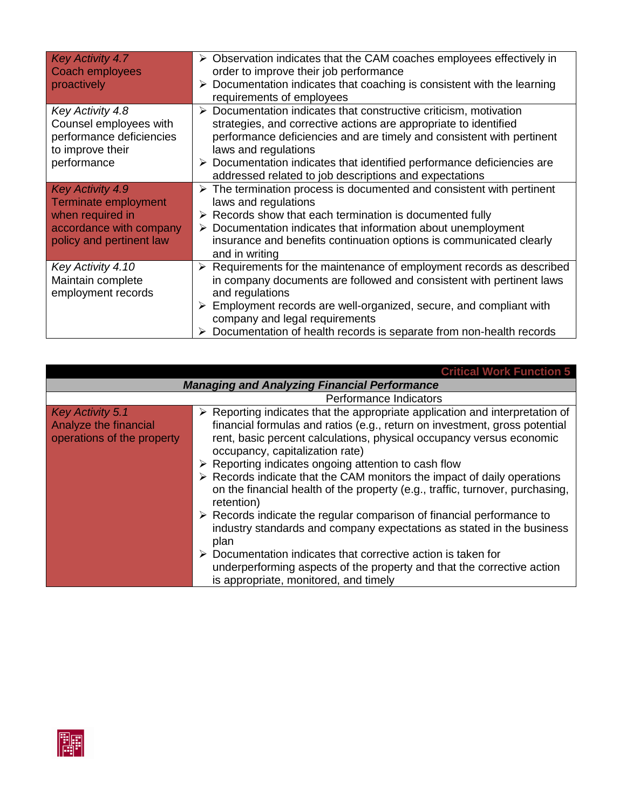| <b>Key Activity 4.7</b><br>Coach employees<br>proactively                                                                         | $\triangleright$ Observation indicates that the CAM coaches employees effectively in<br>order to improve their job performance<br>Documentation indicates that coaching is consistent with the learning<br>➤<br>requirements of employees                                                                                                                                                                |
|-----------------------------------------------------------------------------------------------------------------------------------|----------------------------------------------------------------------------------------------------------------------------------------------------------------------------------------------------------------------------------------------------------------------------------------------------------------------------------------------------------------------------------------------------------|
| Key Activity 4.8<br>Counsel employees with<br>performance deficiencies<br>to improve their<br>performance                         | $\triangleright$ Documentation indicates that constructive criticism, motivation<br>strategies, and corrective actions are appropriate to identified<br>performance deficiencies and are timely and consistent with pertinent<br>laws and regulations<br>$\triangleright$ Documentation indicates that identified performance deficiencies are<br>addressed related to job descriptions and expectations |
| <b>Key Activity 4.9</b><br><b>Terminate employment</b><br>when required in<br>accordance with company<br>policy and pertinent law | $\triangleright$ The termination process is documented and consistent with pertinent<br>laws and regulations<br>$\triangleright$ Records show that each termination is documented fully<br>$\triangleright$ Documentation indicates that information about unemployment<br>insurance and benefits continuation options is communicated clearly<br>and in writing                                         |
| Key Activity 4.10<br>Maintain complete<br>employment records                                                                      | $\triangleright$ Requirements for the maintenance of employment records as described<br>in company documents are followed and consistent with pertinent laws<br>and regulations<br>$\triangleright$ Employment records are well-organized, secure, and compliant with<br>company and legal requirements<br>$\triangleright$ Documentation of health records is separate from non-health records          |

|                                                                         | <b>Critical Work Function 5</b>                                                                                                                                                                                                                                                                                                                                                                                                                                                                                                                                                                                                                                                                                                                                                                                                                                                                                                  |  |
|-------------------------------------------------------------------------|----------------------------------------------------------------------------------------------------------------------------------------------------------------------------------------------------------------------------------------------------------------------------------------------------------------------------------------------------------------------------------------------------------------------------------------------------------------------------------------------------------------------------------------------------------------------------------------------------------------------------------------------------------------------------------------------------------------------------------------------------------------------------------------------------------------------------------------------------------------------------------------------------------------------------------|--|
| <b>Managing and Analyzing Financial Performance</b>                     |                                                                                                                                                                                                                                                                                                                                                                                                                                                                                                                                                                                                                                                                                                                                                                                                                                                                                                                                  |  |
| Performance Indicators                                                  |                                                                                                                                                                                                                                                                                                                                                                                                                                                                                                                                                                                                                                                                                                                                                                                                                                                                                                                                  |  |
| Key Activity 5.1<br>Analyze the financial<br>operations of the property | $\triangleright$ Reporting indicates that the appropriate application and interpretation of<br>financial formulas and ratios (e.g., return on investment, gross potential<br>rent, basic percent calculations, physical occupancy versus economic<br>occupancy, capitalization rate)<br>$\triangleright$ Reporting indicates ongoing attention to cash flow<br>$\triangleright$ Records indicate that the CAM monitors the impact of daily operations<br>on the financial health of the property (e.g., traffic, turnover, purchasing,<br>retention)<br>$\triangleright$ Records indicate the regular comparison of financial performance to<br>industry standards and company expectations as stated in the business<br>plan<br>$\triangleright$ Documentation indicates that corrective action is taken for<br>underperforming aspects of the property and that the corrective action<br>is appropriate, monitored, and timely |  |